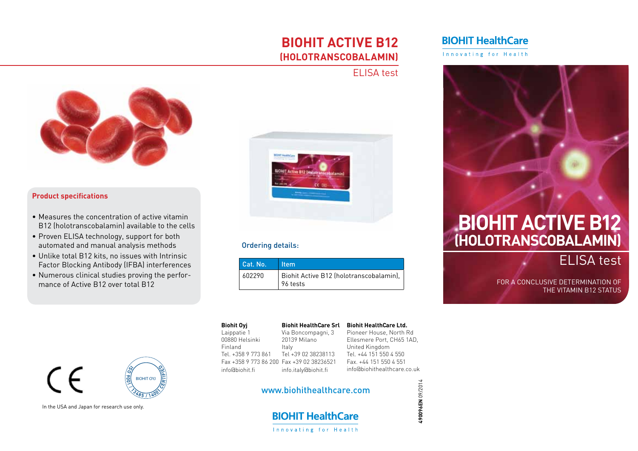## **biohit active B12 (holotranscobalamin)**

## ELISA test



dropper. Drop 3 dropper. Drop 3 drops onto the Sample well of the Sample well of the Sample well of the Sample

## **Product specifications**

- Measures the concentration of active vitamin B12 (holotranscobalamin) available to the cells
- Proven ELISA technology, support for both automated and manual analysis methods
- Unlike total B12 kits, no issues with Intrinsic Factor Blocking Antibody (IFBA) interferences
- • Numerous clinical studies proving the performance of Active B12 over total B12



## **Independent Sie bitte per Fax and Sie bitte per Sie bitte per Sie bitte per Sie bitte per Sie bitte per Sie b**

#### Italy Unit 861 Tel +39 02 38238113 Tel. +44 151 Fax +358 9 773 86 200 Fax +39 02 38236521 F info.italy@biohit.fi ir **Biohit Oyj** Laippatie 1 00880 Helsinki Finland Tel. +358 9 773 861 info@biohit.fi **Biohit HealthCare Srl** Via Boncompagni, 3 20139 Milano

### **Biohit HealthCare Ltd.** Pioneer House, North Rd Ellesmere Port, CH65 1AD, United Kingdom Tel. +44 151 550 4 550 Fax. +44 151 550 4 551 info@biohithealthcare.co.uk

**490096EN** 09/2014

490096EN 09/2014

## www.biohithealthcare.com<br>.



## **BIOHIT HealthCare**

Innovating for Health



# **(Holotranscobalamin)**

ELISA test

THE VITAMIN B12 STATUS For a conclusive determination of

Journal of Colorectal Disease 1999; 14: 267-271.



In the USA and Japan for research use only. 3. Yamamoto M. et al. Cost-effectiveness analysis of immunochemi-